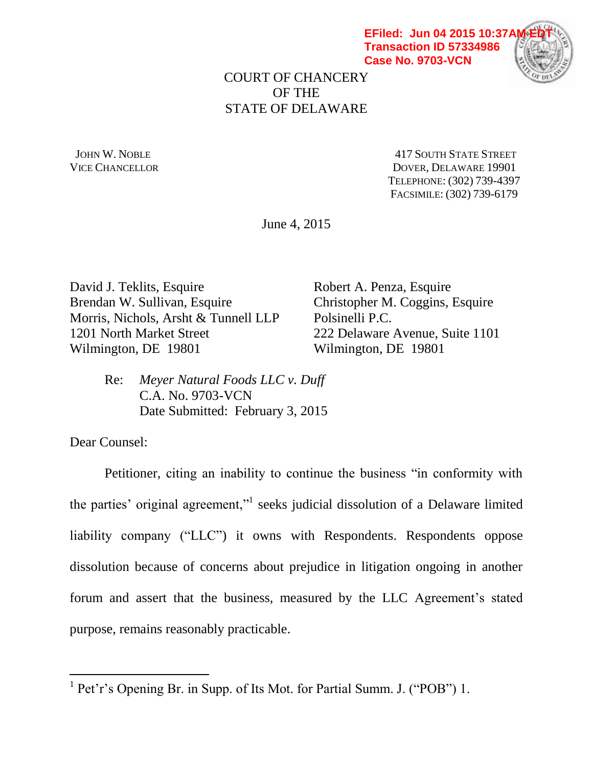**EFiled: Jun 04 2015 10:37A Transaction ID 57334986 Case No. 9703-VCN**



COURT OF CHANCERY OF THE STATE OF DELAWARE

JOHN W. NOBLE **AND STATE STREET** 417 SOUTH STATE STREET VICE CHANCELLOR DOVER, DELAWARE 19901 TELEPHONE: (302) 739-4397 FACSIMILE: (302) 739-6179

June 4, 2015

David J. Teklits, Esquire Robert A. Penza, Esquire Brendan W. Sullivan, Esquire Christopher M. Coggins, Esquire Morris, Nichols, Arsht & Tunnell LLP Polsinelli P.C. 1201 North Market Street 222 Delaware Avenue, Suite 1101 Wilmington, DE 19801 Wilmington, DE 19801

Re: *Meyer Natural Foods LLC v. Duff* C.A. No. 9703-VCN Date Submitted: February 3, 2015

Dear Counsel:

 $\overline{a}$ 

Petitioner, citing an inability to continue the business "in conformity with the parties' original agreement," seeks judicial dissolution of a Delaware limited liability company ("LLC") it owns with Respondents. Respondents oppose dissolution because of concerns about prejudice in litigation ongoing in another forum and assert that the business, measured by the LLC Agreement's stated purpose, remains reasonably practicable.

<sup>&</sup>lt;sup>1</sup> Pet'r's Opening Br. in Supp. of Its Mot. for Partial Summ. J. ("POB") 1.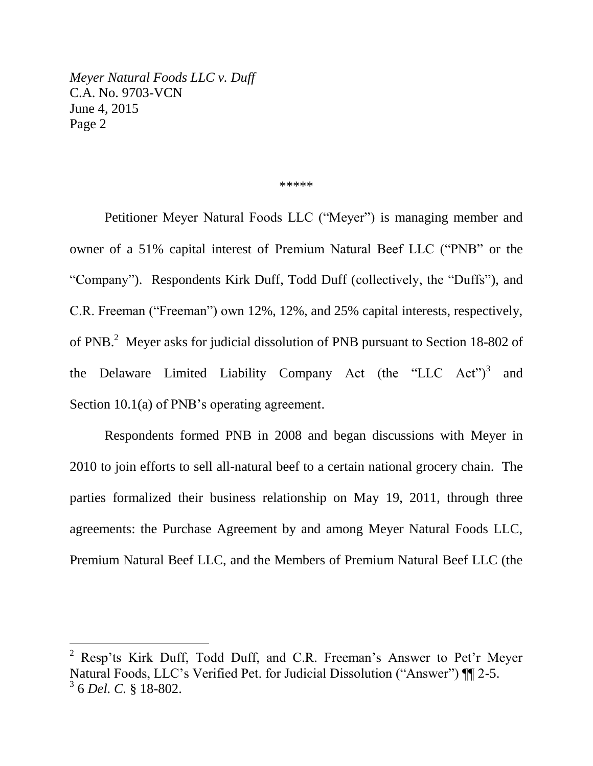$\overline{a}$ 

#### \*\*\*\*\*

Petitioner Meyer Natural Foods LLC ("Meyer") is managing member and owner of a 51% capital interest of Premium Natural Beef LLC ("PNB" or the "Company"). Respondents Kirk Duff, Todd Duff (collectively, the "Duffs"), and C.R. Freeman ("Freeman") own 12%, 12%, and 25% capital interests, respectively, of PNB.<sup>2</sup> Meyer asks for judicial dissolution of PNB pursuant to Section 18-802 of the Delaware Limited Liability Company Act (the "LLC Act")<sup>3</sup> and Section 10.1(a) of PNB's operating agreement.

Respondents formed PNB in 2008 and began discussions with Meyer in 2010 to join efforts to sell all-natural beef to a certain national grocery chain. The parties formalized their business relationship on May 19, 2011, through three agreements: the Purchase Agreement by and among Meyer Natural Foods LLC, Premium Natural Beef LLC, and the Members of Premium Natural Beef LLC (the

<sup>&</sup>lt;sup>2</sup> Resp'ts Kirk Duff, Todd Duff, and C.R. Freeman's Answer to Pet'r Meyer Natural Foods, LLC's Verified Pet. for Judicial Dissolution ("Answer") ¶¶ 2-5. 3 6 *Del. C.* § 18-802.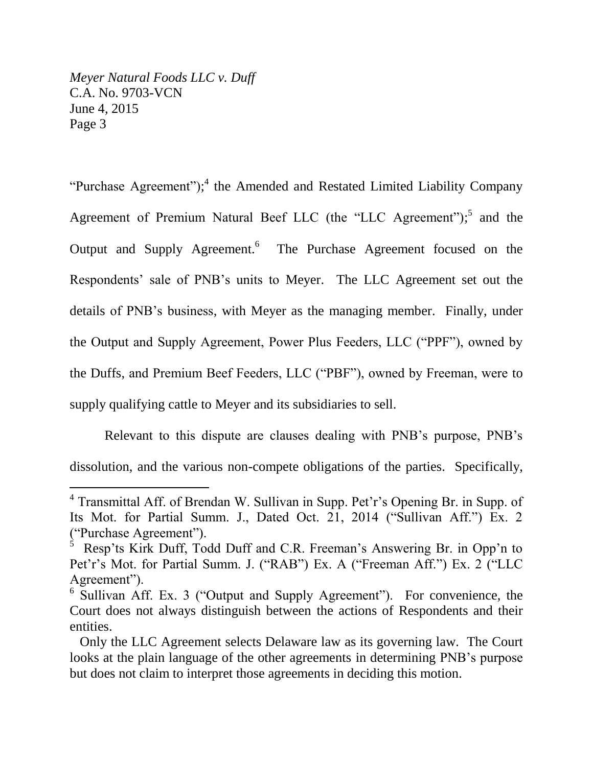$\overline{a}$ 

"Purchase Agreement");<sup>4</sup> the Amended and Restated Limited Liability Company Agreement of Premium Natural Beef LLC (the "LLC Agreement");<sup>5</sup> and the Output and Supply Agreement.<sup>6</sup> The Purchase Agreement focused on the Respondents' sale of PNB's units to Meyer. The LLC Agreement set out the details of PNB's business, with Meyer as the managing member. Finally, under the Output and Supply Agreement, Power Plus Feeders, LLC ("PPF"), owned by the Duffs, and Premium Beef Feeders, LLC ("PBF"), owned by Freeman, were to supply qualifying cattle to Meyer and its subsidiaries to sell.

Relevant to this dispute are clauses dealing with PNB's purpose, PNB's dissolution, and the various non-compete obligations of the parties. Specifically,

<sup>&</sup>lt;sup>4</sup> Transmittal Aff. of Brendan W. Sullivan in Supp. Pet'r's Opening Br. in Supp. of Its Mot. for Partial Summ. J., Dated Oct. 21, 2014 ("Sullivan Aff.") Ex. 2 ("Purchase Agreement").

<sup>5</sup> Resp'ts Kirk Duff, Todd Duff and C.R. Freeman's Answering Br. in Opp'n to Pet'r's Mot. for Partial Summ. J. ("RAB") Ex. A ("Freeman Aff.") Ex. 2 ("LLC Agreement").

<sup>&</sup>lt;sup>6</sup> Sullivan Aff. Ex. 3 ("Output and Supply Agreement"). For convenience, the Court does not always distinguish between the actions of Respondents and their entities.

Only the LLC Agreement selects Delaware law as its governing law. The Court looks at the plain language of the other agreements in determining PNB's purpose but does not claim to interpret those agreements in deciding this motion.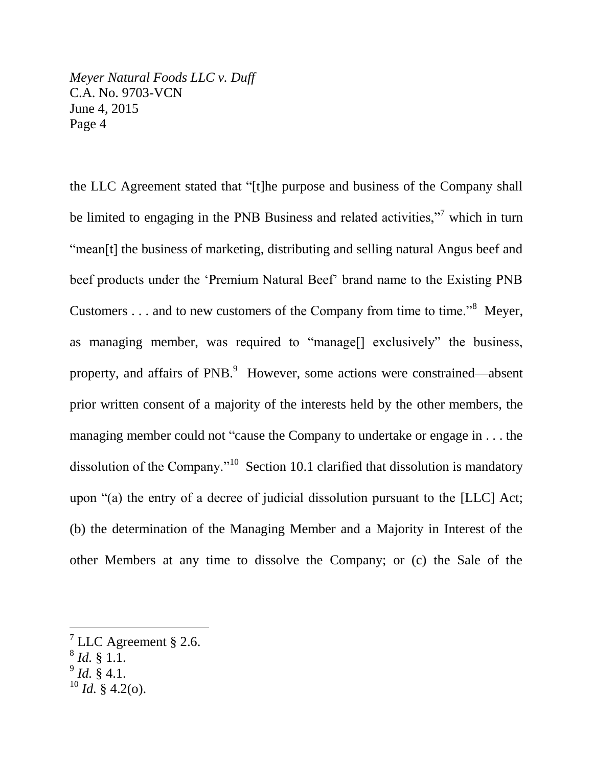the LLC Agreement stated that "[t]he purpose and business of the Company shall be limited to engaging in the PNB Business and related activities,"<sup>7</sup> which in turn "mean[t] the business of marketing, distributing and selling natural Angus beef and beef products under the 'Premium Natural Beef' brand name to the Existing PNB Customers  $\dots$  and to new customers of the Company from time to time."<sup>8</sup> Meyer, as managing member, was required to "manage[] exclusively" the business, property, and affairs of PNB.<sup>9</sup> However, some actions were constrained—absent prior written consent of a majority of the interests held by the other members, the managing member could not "cause the Company to undertake or engage in . . . the dissolution of the Company."<sup>10</sup> Section 10.1 clarified that dissolution is mandatory upon "(a) the entry of a decree of judicial dissolution pursuant to the [LLC] Act; (b) the determination of the Managing Member and a Majority in Interest of the other Members at any time to dissolve the Company; or (c) the Sale of the

 $\overline{a}$ 

9 *Id.* § 4.1.

 $7$  LLC Agreement § 2.6.

<sup>8</sup> *Id.* § 1.1.

 $^{10}$  *Id.* § 4.2(o).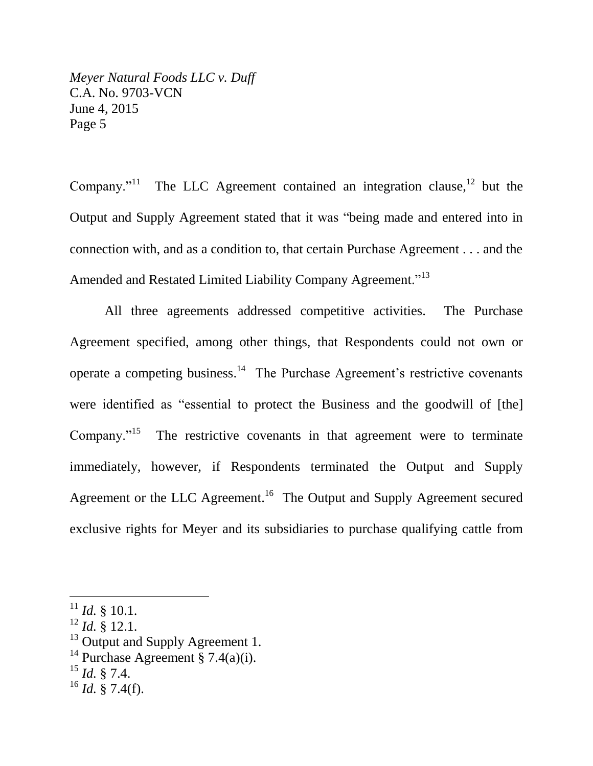Company."<sup>11</sup> The LLC Agreement contained an integration clause,  $12$  but the Output and Supply Agreement stated that it was "being made and entered into in connection with, and as a condition to, that certain Purchase Agreement . . . and the Amended and Restated Limited Liability Company Agreement."<sup>13</sup>

All three agreements addressed competitive activities. The Purchase Agreement specified, among other things, that Respondents could not own or operate a competing business.<sup>14</sup> The Purchase Agreement's restrictive covenants were identified as "essential to protect the Business and the goodwill of [the] Company."<sup>15</sup> The restrictive covenants in that agreement were to terminate immediately, however, if Respondents terminated the Output and Supply Agreement or the LLC Agreement.<sup>16</sup> The Output and Supply Agreement secured exclusive rights for Meyer and its subsidiaries to purchase qualifying cattle from

- <sup>13</sup> Output and Supply Agreement 1.
- <sup>14</sup> Purchase Agreement § 7.4(a)(i).
- $^{15}$  *Id.* § 7.4.

 $^{11}$  *Id.* § 10.1.

 $^{12}$  *Id.* § 12.1.

 $^{16}$  *Id.* § 7.4(f).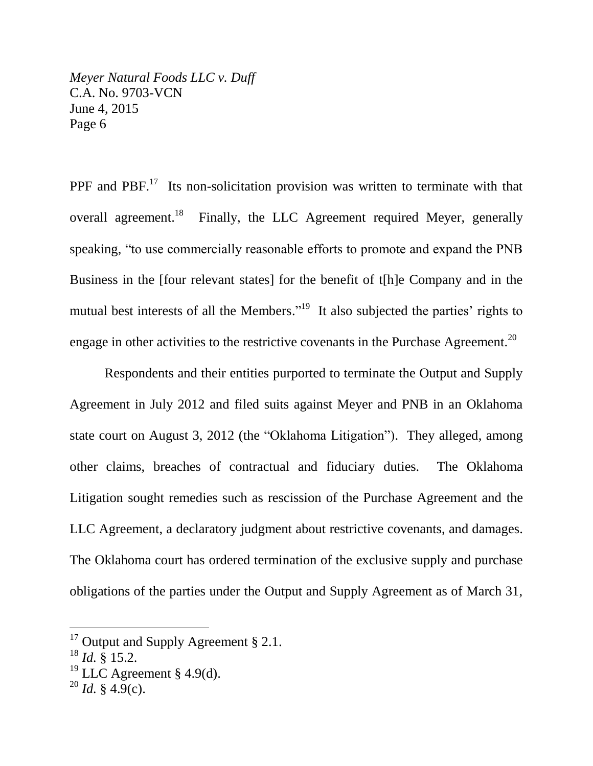PPF and PBF.<sup>17</sup> Its non-solicitation provision was written to terminate with that overall agreement.<sup>18</sup> Finally, the LLC Agreement required Meyer, generally speaking, "to use commercially reasonable efforts to promote and expand the PNB Business in the [four relevant states] for the benefit of t[h]e Company and in the mutual best interests of all the Members."<sup>19</sup> It also subjected the parties' rights to engage in other activities to the restrictive covenants in the Purchase Agreement.<sup>20</sup>

Respondents and their entities purported to terminate the Output and Supply Agreement in July 2012 and filed suits against Meyer and PNB in an Oklahoma state court on August 3, 2012 (the "Oklahoma Litigation"). They alleged, among other claims, breaches of contractual and fiduciary duties. The Oklahoma Litigation sought remedies such as rescission of the Purchase Agreement and the LLC Agreement, a declaratory judgment about restrictive covenants, and damages. The Oklahoma court has ordered termination of the exclusive supply and purchase obligations of the parties under the Output and Supply Agreement as of March 31,

 $17$  Output and Supply Agreement § 2.1.

 $^{18}$  *Id.* § 15.2.

<sup>&</sup>lt;sup>19</sup> LLC Agreement § 4.9(d).

 $^{20}$  *Id.* § 4.9(c).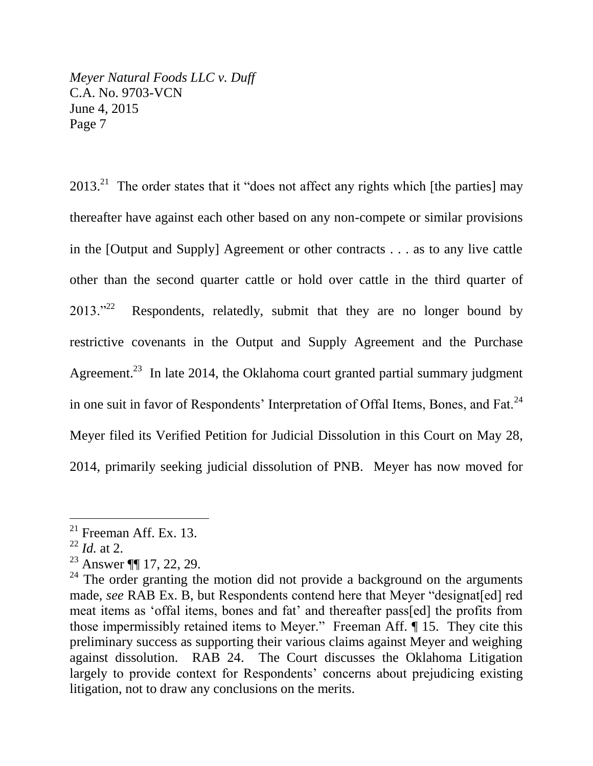$2013<sup>21</sup>$  The order states that it "does not affect any rights which [the parties] may thereafter have against each other based on any non-compete or similar provisions in the [Output and Supply] Agreement or other contracts . . . as to any live cattle other than the second quarter cattle or hold over cattle in the third quarter of  $2013^{32}$  Respondents, relatedly, submit that they are no longer bound by restrictive covenants in the Output and Supply Agreement and the Purchase Agreement.<sup>23</sup> In late 2014, the Oklahoma court granted partial summary judgment in one suit in favor of Respondents' Interpretation of Offal Items, Bones, and Fat. $^{24}$ Meyer filed its Verified Petition for Judicial Dissolution in this Court on May 28, 2014, primarily seeking judicial dissolution of PNB. Meyer has now moved for

 $21$  Freeman Aff. Ex. 13.

 $^{22}$  *Id.* at 2.

<sup>23</sup> Answer ¶¶ 17, 22, 29.

 $24$  The order granting the motion did not provide a background on the arguments made, *see* RAB Ex. B, but Respondents contend here that Meyer "designat[ed] red meat items as 'offal items, bones and fat' and thereafter pass[ed] the profits from those impermissibly retained items to Meyer." Freeman Aff. ¶ 15. They cite this preliminary success as supporting their various claims against Meyer and weighing against dissolution. RAB 24. The Court discusses the Oklahoma Litigation largely to provide context for Respondents' concerns about prejudicing existing litigation, not to draw any conclusions on the merits.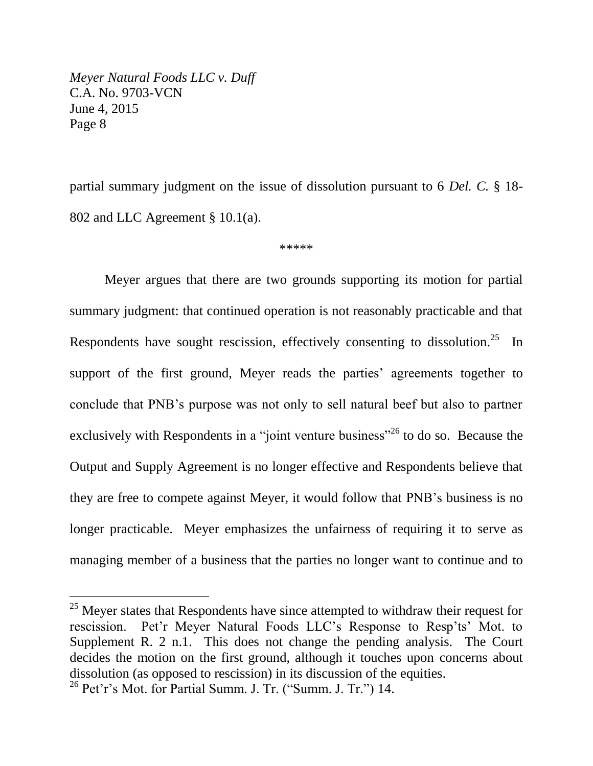partial summary judgment on the issue of dissolution pursuant to 6 *Del. C.* § 18- 802 and LLC Agreement § 10.1(a).

\*\*\*\*\*

Meyer argues that there are two grounds supporting its motion for partial summary judgment: that continued operation is not reasonably practicable and that Respondents have sought rescission, effectively consenting to dissolution.<sup>25</sup> In support of the first ground, Meyer reads the parties' agreements together to conclude that PNB's purpose was not only to sell natural beef but also to partner exclusively with Respondents in a "joint venture business"<sup>26</sup> to do so. Because the Output and Supply Agreement is no longer effective and Respondents believe that they are free to compete against Meyer, it would follow that PNB's business is no longer practicable. Meyer emphasizes the unfairness of requiring it to serve as managing member of a business that the parties no longer want to continue and to

<sup>&</sup>lt;sup>25</sup> Meyer states that Respondents have since attempted to withdraw their request for rescission. Pet'r Meyer Natural Foods LLC's Response to Resp'ts' Mot. to Supplement R. 2 n.1. This does not change the pending analysis. The Court decides the motion on the first ground, although it touches upon concerns about dissolution (as opposed to rescission) in its discussion of the equities.

 $26$  Pet'r's Mot. for Partial Summ. J. Tr. ("Summ. J. Tr.") 14.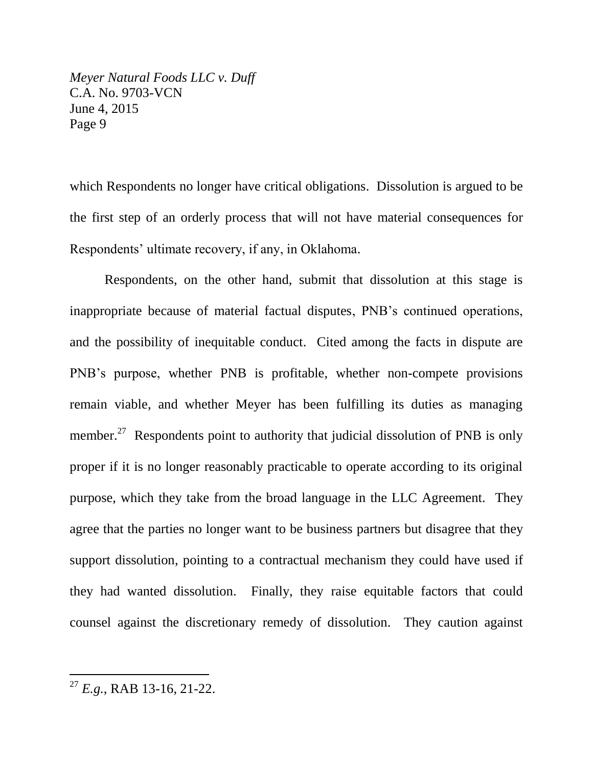which Respondents no longer have critical obligations. Dissolution is argued to be the first step of an orderly process that will not have material consequences for Respondents' ultimate recovery, if any, in Oklahoma.

Respondents, on the other hand, submit that dissolution at this stage is inappropriate because of material factual disputes, PNB's continued operations, and the possibility of inequitable conduct. Cited among the facts in dispute are PNB's purpose, whether PNB is profitable, whether non-compete provisions remain viable, and whether Meyer has been fulfilling its duties as managing member.<sup>27</sup> Respondents point to authority that judicial dissolution of PNB is only proper if it is no longer reasonably practicable to operate according to its original purpose, which they take from the broad language in the LLC Agreement. They agree that the parties no longer want to be business partners but disagree that they support dissolution, pointing to a contractual mechanism they could have used if they had wanted dissolution. Finally, they raise equitable factors that could counsel against the discretionary remedy of dissolution. They caution against

<sup>27</sup> *E.g.*, RAB 13-16, 21-22.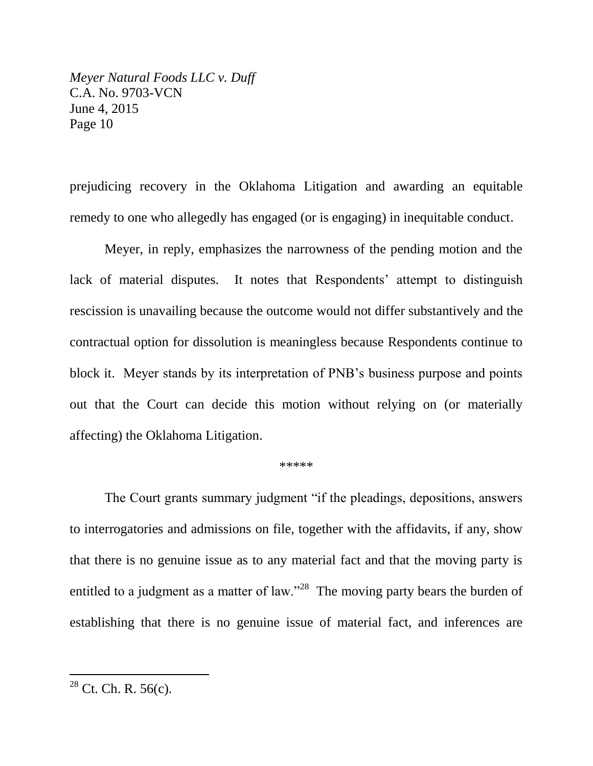prejudicing recovery in the Oklahoma Litigation and awarding an equitable remedy to one who allegedly has engaged (or is engaging) in inequitable conduct.

Meyer, in reply, emphasizes the narrowness of the pending motion and the lack of material disputes. It notes that Respondents' attempt to distinguish rescission is unavailing because the outcome would not differ substantively and the contractual option for dissolution is meaningless because Respondents continue to block it. Meyer stands by its interpretation of PNB's business purpose and points out that the Court can decide this motion without relying on (or materially affecting) the Oklahoma Litigation.

### \*\*\*\*\*

The Court grants summary judgment "if the pleadings, depositions, answers to interrogatories and admissions on file, together with the affidavits, if any, show that there is no genuine issue as to any material fact and that the moving party is entitled to a judgment as a matter of law."<sup>28</sup> The moving party bears the burden of establishing that there is no genuine issue of material fact, and inferences are

 $28$  Ct. Ch. R. 56(c).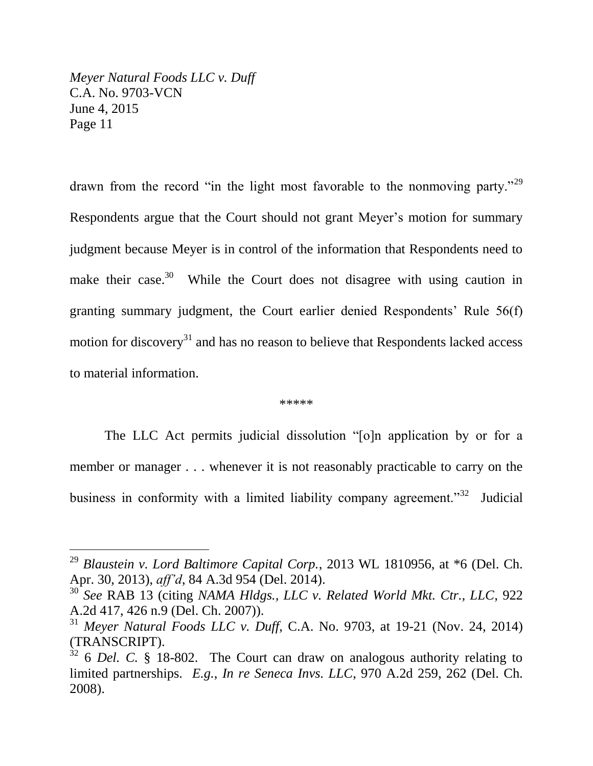$\overline{a}$ 

drawn from the record "in the light most favorable to the nonmoving party."<sup>29</sup> Respondents argue that the Court should not grant Meyer's motion for summary judgment because Meyer is in control of the information that Respondents need to make their case.<sup>30</sup> While the Court does not disagree with using caution in granting summary judgment, the Court earlier denied Respondents' Rule 56(f) motion for discovery<sup>31</sup> and has no reason to believe that Respondents lacked access to material information.

### \*\*\*\*\*

The LLC Act permits judicial dissolution "[o]n application by or for a member or manager . . . whenever it is not reasonably practicable to carry on the business in conformity with a limited liability company agreement."<sup>32</sup> Judicial

<sup>29</sup> *Blaustein v. Lord Baltimore Capital Corp.*, 2013 WL 1810956, at \*6 (Del. Ch. Apr. 30, 2013), *aff'd*, 84 A.3d 954 (Del. 2014).

<sup>30</sup> *See* RAB 13 (citing *NAMA Hldgs., LLC v. Related World Mkt. Ctr., LLC*, 922 A.2d 417, 426 n.9 (Del. Ch. 2007)).

<sup>31</sup> *Meyer Natural Foods LLC v. Duff*, C.A. No. 9703, at 19-21 (Nov. 24, 2014) (TRANSCRIPT).

<sup>&</sup>lt;sup>32</sup> 6 *Del.* C. § 18-802. The Court can draw on analogous authority relating to limited partnerships. *E.g.*, *In re Seneca Invs. LLC*, 970 A.2d 259, 262 (Del. Ch. 2008).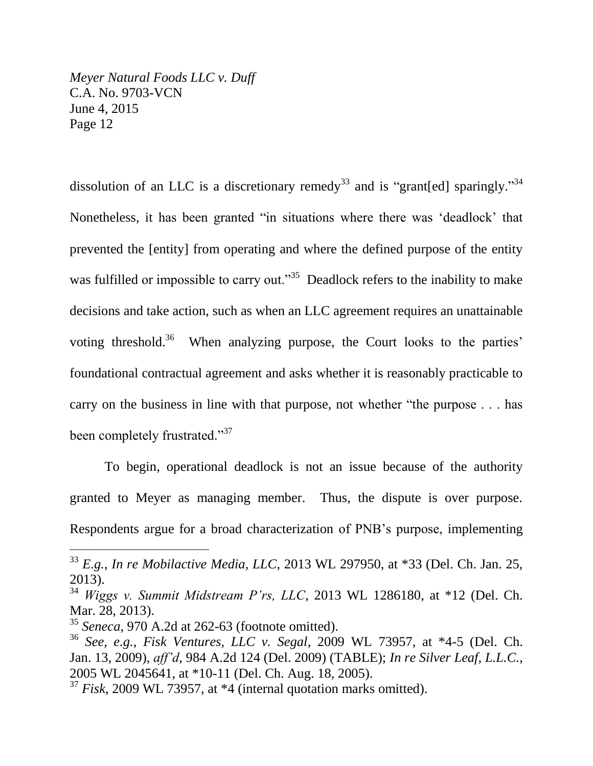dissolution of an LLC is a discretionary remedy<sup>33</sup> and is "grant[ed] sparingly."<sup>34</sup> Nonetheless, it has been granted "in situations where there was 'deadlock' that prevented the [entity] from operating and where the defined purpose of the entity was fulfilled or impossible to carry out."<sup>35</sup> Deadlock refers to the inability to make decisions and take action, such as when an LLC agreement requires an unattainable voting threshold.<sup>36</sup> When analyzing purpose, the Court looks to the parties' foundational contractual agreement and asks whether it is reasonably practicable to carry on the business in line with that purpose, not whether "the purpose . . . has been completely frustrated."<sup>37</sup>

To begin, operational deadlock is not an issue because of the authority granted to Meyer as managing member. Thus, the dispute is over purpose. Respondents argue for a broad characterization of PNB's purpose, implementing

<sup>33</sup> *E.g.*, *In re Mobilactive Media, LLC*, 2013 WL 297950, at \*33 (Del. Ch. Jan. 25, 2013).

<sup>34</sup> *Wiggs v. Summit Midstream P'rs, LLC*, 2013 WL 1286180, at \*12 (Del. Ch. Mar. 28, 2013).

<sup>35</sup> *Seneca*, 970 A.2d at 262-63 (footnote omitted).

<sup>36</sup> *See, e.g.*, *Fisk Ventures, LLC v. Segal*, 2009 WL 73957, at \*4-5 (Del. Ch. Jan. 13, 2009), *aff'd*, 984 A.2d 124 (Del. 2009) (TABLE); *In re Silver Leaf, L.L.C.*, 2005 WL 2045641, at \*10-11 (Del. Ch. Aug. 18, 2005).

<sup>37</sup> *Fisk*, 2009 WL 73957, at \*4 (internal quotation marks omitted).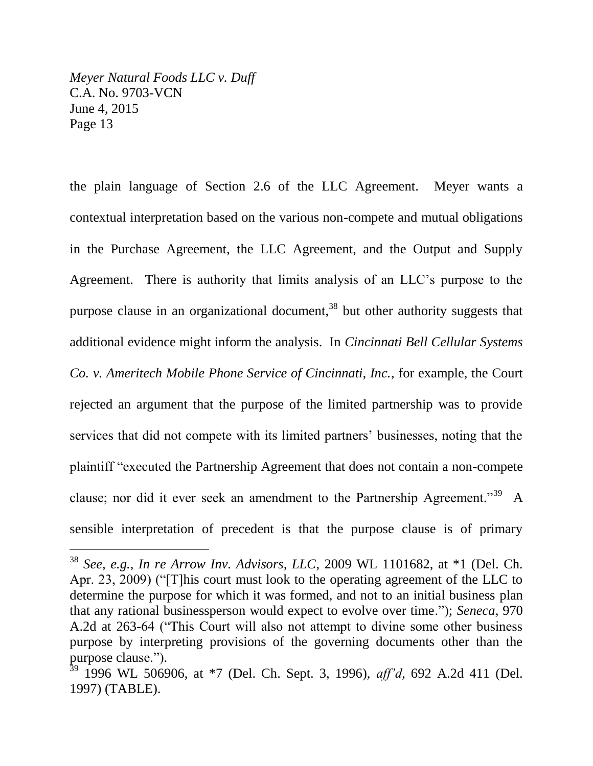$\overline{a}$ 

the plain language of Section 2.6 of the LLC Agreement. Meyer wants a contextual interpretation based on the various non-compete and mutual obligations in the Purchase Agreement, the LLC Agreement, and the Output and Supply Agreement. There is authority that limits analysis of an LLC's purpose to the purpose clause in an organizational document,  $38$  but other authority suggests that additional evidence might inform the analysis. In *Cincinnati Bell Cellular Systems Co. v. Ameritech Mobile Phone Service of Cincinnati, Inc.*, for example, the Court rejected an argument that the purpose of the limited partnership was to provide services that did not compete with its limited partners' businesses, noting that the plaintiff "executed the Partnership Agreement that does not contain a non-compete clause; nor did it ever seek an amendment to the Partnership Agreement."<sup>39</sup> A sensible interpretation of precedent is that the purpose clause is of primary

<sup>38</sup> *See, e.g.*, *In re Arrow Inv. Advisors, LLC*, 2009 WL 1101682, at \*1 (Del. Ch. Apr. 23, 2009) ("[T]his court must look to the operating agreement of the LLC to determine the purpose for which it was formed, and not to an initial business plan that any rational businessperson would expect to evolve over time."); *Seneca*, 970 A.2d at 263-64 ("This Court will also not attempt to divine some other business purpose by interpreting provisions of the governing documents other than the purpose clause.").

<sup>39</sup> 1996 WL 506906, at \*7 (Del. Ch. Sept. 3, 1996), *aff'd*, 692 A.2d 411 (Del. 1997) (TABLE).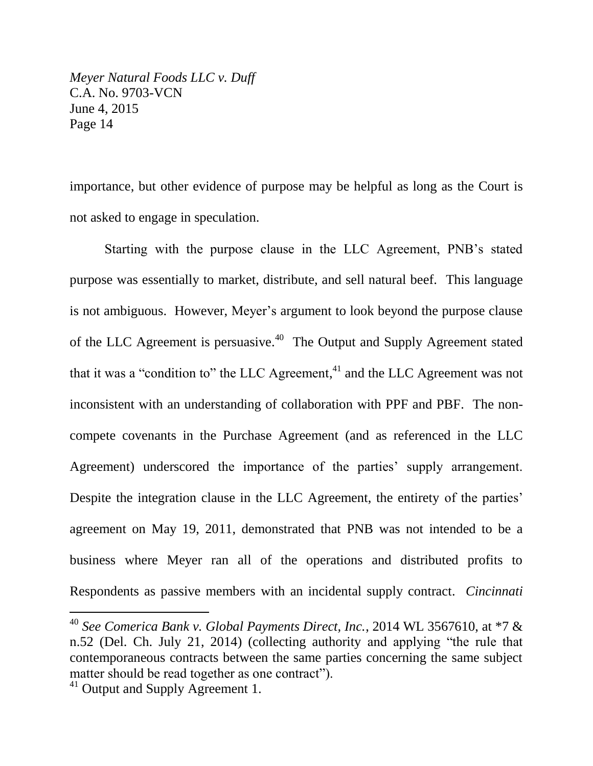importance, but other evidence of purpose may be helpful as long as the Court is not asked to engage in speculation.

Starting with the purpose clause in the LLC Agreement, PNB's stated purpose was essentially to market, distribute, and sell natural beef. This language is not ambiguous. However, Meyer's argument to look beyond the purpose clause of the LLC Agreement is persuasive.<sup>40</sup> The Output and Supply Agreement stated that it was a "condition to" the LLC Agreement, $41$  and the LLC Agreement was not inconsistent with an understanding of collaboration with PPF and PBF. The noncompete covenants in the Purchase Agreement (and as referenced in the LLC Agreement) underscored the importance of the parties' supply arrangement. Despite the integration clause in the LLC Agreement, the entirety of the parties' agreement on May 19, 2011, demonstrated that PNB was not intended to be a business where Meyer ran all of the operations and distributed profits to Respondents as passive members with an incidental supply contract. *Cincinnati* 

<sup>40</sup> *See Comerica Bank v. Global Payments Direct, Inc.*, 2014 WL 3567610, at \*7 & n.52 (Del. Ch. July 21, 2014) (collecting authority and applying "the rule that contemporaneous contracts between the same parties concerning the same subject matter should be read together as one contract").

<sup>&</sup>lt;sup>41</sup> Output and Supply Agreement 1.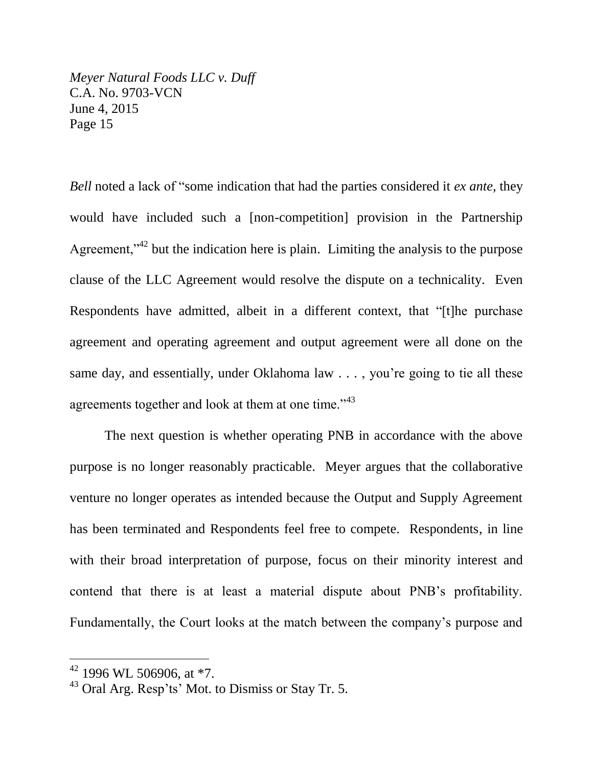*Bell* noted a lack of "some indication that had the parties considered it *ex ante,* they would have included such a [non-competition] provision in the Partnership Agreement," $^{42}$  but the indication here is plain. Limiting the analysis to the purpose clause of the LLC Agreement would resolve the dispute on a technicality. Even Respondents have admitted, albeit in a different context, that "[t]he purchase agreement and operating agreement and output agreement were all done on the same day, and essentially, under Oklahoma law . . . , you're going to tie all these agreements together and look at them at one time."<sup>43</sup>

The next question is whether operating PNB in accordance with the above purpose is no longer reasonably practicable. Meyer argues that the collaborative venture no longer operates as intended because the Output and Supply Agreement has been terminated and Respondents feel free to compete. Respondents, in line with their broad interpretation of purpose, focus on their minority interest and contend that there is at least a material dispute about PNB's profitability. Fundamentally, the Court looks at the match between the company's purpose and

 $42$  1996 WL 506906, at  $*7$ .

<sup>43</sup> Oral Arg. Resp'ts' Mot. to Dismiss or Stay Tr. 5.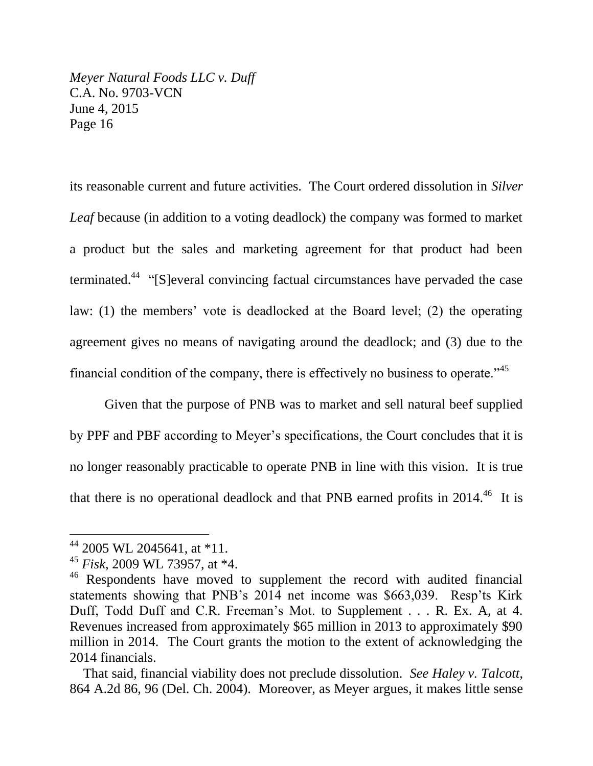its reasonable current and future activities. The Court ordered dissolution in *Silver Leaf* because (in addition to a voting deadlock) the company was formed to market a product but the sales and marketing agreement for that product had been terminated.<sup>44</sup> "[S]everal convincing factual circumstances have pervaded the case law: (1) the members' vote is deadlocked at the Board level; (2) the operating agreement gives no means of navigating around the deadlock; and (3) due to the financial condition of the company, there is effectively no business to operate.<sup> $345$ </sup>

Given that the purpose of PNB was to market and sell natural beef supplied by PPF and PBF according to Meyer's specifications, the Court concludes that it is no longer reasonably practicable to operate PNB in line with this vision. It is true that there is no operational deadlock and that PNB earned profits in  $2014.^{46}$  It is

<sup>44</sup> 2005 WL 2045641, at \*11.

<sup>45</sup> *Fisk*, 2009 WL 73957, at \*4.

<sup>&</sup>lt;sup>46</sup> Respondents have moved to supplement the record with audited financial statements showing that PNB's 2014 net income was \$663,039. Resp'ts Kirk Duff, Todd Duff and C.R. Freeman's Mot. to Supplement . . . R. Ex. A, at 4. Revenues increased from approximately \$65 million in 2013 to approximately \$90 million in 2014. The Court grants the motion to the extent of acknowledging the 2014 financials.

That said, financial viability does not preclude dissolution. *See Haley v. Talcott*, 864 A.2d 86, 96 (Del. Ch. 2004). Moreover, as Meyer argues, it makes little sense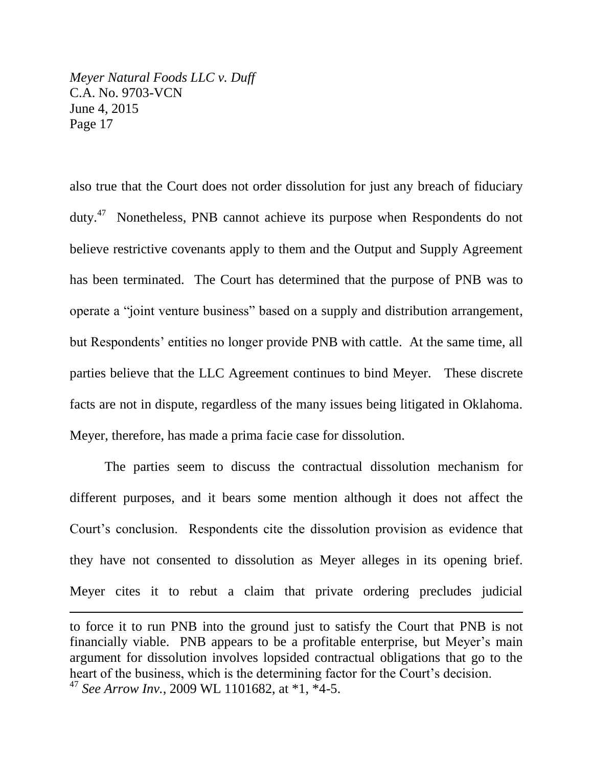$\overline{a}$ 

also true that the Court does not order dissolution for just any breach of fiduciary duty. $47$  Nonetheless, PNB cannot achieve its purpose when Respondents do not believe restrictive covenants apply to them and the Output and Supply Agreement has been terminated. The Court has determined that the purpose of PNB was to operate a "joint venture business" based on a supply and distribution arrangement, but Respondents' entities no longer provide PNB with cattle. At the same time, all parties believe that the LLC Agreement continues to bind Meyer. These discrete facts are not in dispute, regardless of the many issues being litigated in Oklahoma. Meyer, therefore, has made a prima facie case for dissolution.

The parties seem to discuss the contractual dissolution mechanism for different purposes, and it bears some mention although it does not affect the Court's conclusion. Respondents cite the dissolution provision as evidence that they have not consented to dissolution as Meyer alleges in its opening brief. Meyer cites it to rebut a claim that private ordering precludes judicial

to force it to run PNB into the ground just to satisfy the Court that PNB is not financially viable. PNB appears to be a profitable enterprise, but Meyer's main argument for dissolution involves lopsided contractual obligations that go to the heart of the business, which is the determining factor for the Court's decision. <sup>47</sup> *See Arrow Inv.*, 2009 WL 1101682, at \*1, \*4-5.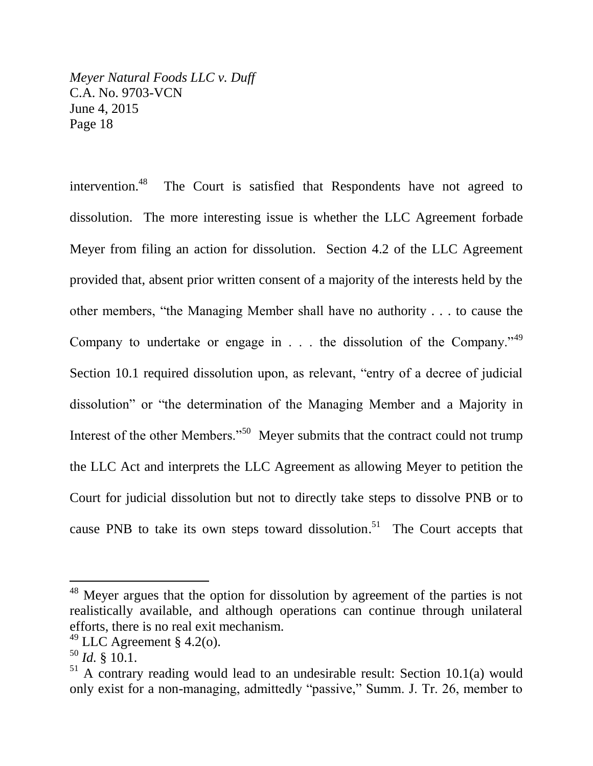intervention.<sup>48</sup> The Court is satisfied that Respondents have not agreed to dissolution. The more interesting issue is whether the LLC Agreement forbade Meyer from filing an action for dissolution. Section 4.2 of the LLC Agreement provided that, absent prior written consent of a majority of the interests held by the other members, "the Managing Member shall have no authority . . . to cause the Company to undertake or engage in  $\ldots$  the dissolution of the Company.<sup> $349$ </sup> Section 10.1 required dissolution upon, as relevant, "entry of a decree of judicial dissolution" or "the determination of the Managing Member and a Majority in Interest of the other Members."<sup>50</sup> Meyer submits that the contract could not trump the LLC Act and interprets the LLC Agreement as allowing Meyer to petition the Court for judicial dissolution but not to directly take steps to dissolve PNB or to cause PNB to take its own steps toward dissolution.<sup>51</sup> The Court accepts that

<sup>&</sup>lt;sup>48</sup> Meyer argues that the option for dissolution by agreement of the parties is not realistically available, and although operations can continue through unilateral efforts, there is no real exit mechanism.

 $49$  LLC Agreement § 4.2(o).

 $^{50}$  *Id.* § 10.1.

 $51$  A contrary reading would lead to an undesirable result: Section 10.1(a) would only exist for a non-managing, admittedly "passive," Summ. J. Tr. 26, member to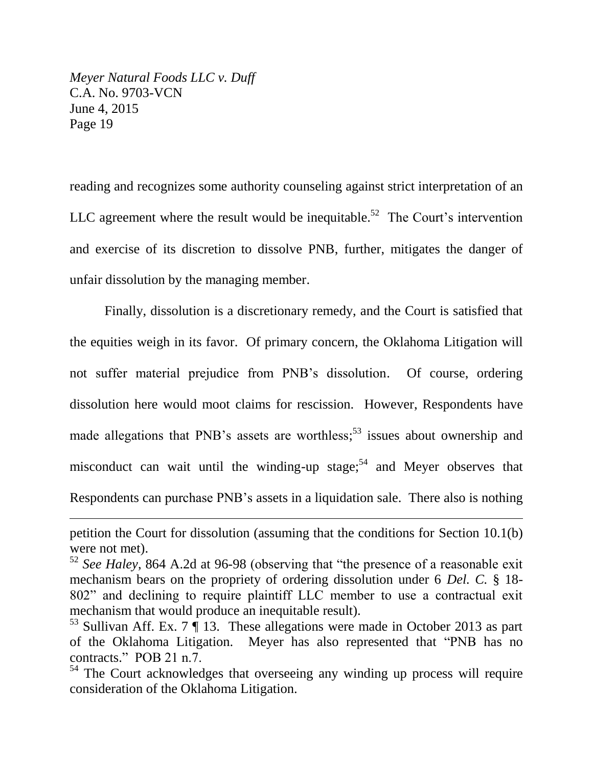l

reading and recognizes some authority counseling against strict interpretation of an LLC agreement where the result would be inequitable.<sup>52</sup> The Court's intervention and exercise of its discretion to dissolve PNB, further, mitigates the danger of unfair dissolution by the managing member.

Finally, dissolution is a discretionary remedy, and the Court is satisfied that the equities weigh in its favor. Of primary concern, the Oklahoma Litigation will not suffer material prejudice from PNB's dissolution. Of course, ordering dissolution here would moot claims for rescission. However, Respondents have made allegations that PNB's assets are worthless;<sup>53</sup> issues about ownership and misconduct can wait until the winding-up stage;<sup>54</sup> and Meyer observes that Respondents can purchase PNB's assets in a liquidation sale. There also is nothing

petition the Court for dissolution (assuming that the conditions for Section 10.1(b) were not met).

<sup>52</sup> *See Haley*, 864 A.2d at 96-98 (observing that "the presence of a reasonable exit mechanism bears on the propriety of ordering dissolution under 6 *Del. C.* § 18- 802" and declining to require plaintiff LLC member to use a contractual exit mechanism that would produce an inequitable result).

<sup>&</sup>lt;sup>53</sup> Sullivan Aff. Ex. 7  $\P$  13. These allegations were made in October 2013 as part of the Oklahoma Litigation. Meyer has also represented that "PNB has no contracts." POB 21 n.7.

<sup>&</sup>lt;sup>54</sup> The Court acknowledges that overseeing any winding up process will require consideration of the Oklahoma Litigation.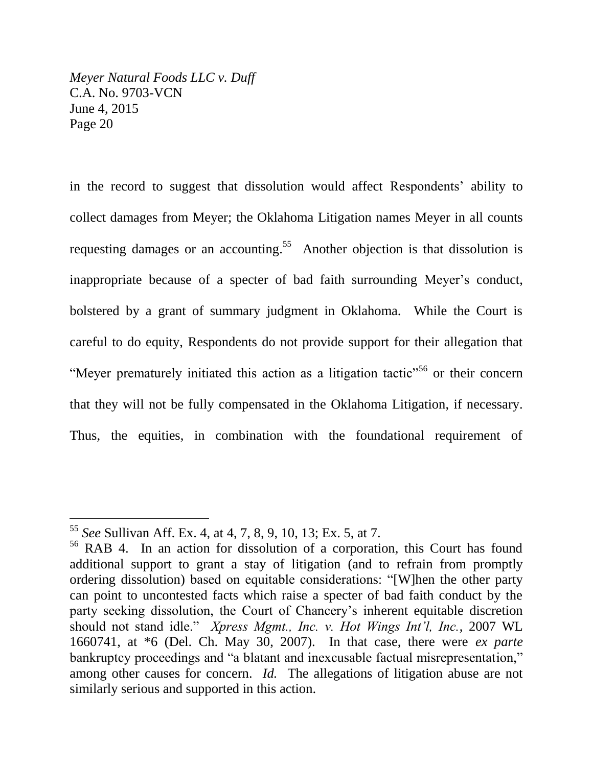in the record to suggest that dissolution would affect Respondents' ability to collect damages from Meyer; the Oklahoma Litigation names Meyer in all counts requesting damages or an accounting.<sup>55</sup> Another objection is that dissolution is inappropriate because of a specter of bad faith surrounding Meyer's conduct, bolstered by a grant of summary judgment in Oklahoma. While the Court is careful to do equity, Respondents do not provide support for their allegation that "Meyer prematurely initiated this action as a litigation tactic<sup>"56</sup> or their concern that they will not be fully compensated in the Oklahoma Litigation, if necessary. Thus, the equities, in combination with the foundational requirement of

<sup>55</sup> *See* Sullivan Aff. Ex. 4, at 4, 7, 8, 9, 10, 13; Ex. 5, at 7.

<sup>56</sup> RAB 4. In an action for dissolution of a corporation, this Court has found additional support to grant a stay of litigation (and to refrain from promptly ordering dissolution) based on equitable considerations: "[W]hen the other party can point to uncontested facts which raise a specter of bad faith conduct by the party seeking dissolution, the Court of Chancery's inherent equitable discretion should not stand idle." *Xpress Mgmt., Inc. v. Hot Wings Int'l, Inc.*, 2007 WL 1660741, at \*6 (Del. Ch. May 30, 2007). In that case, there were *ex parte* bankruptcy proceedings and "a blatant and inexcusable factual misrepresentation," among other causes for concern. *Id.* The allegations of litigation abuse are not similarly serious and supported in this action.